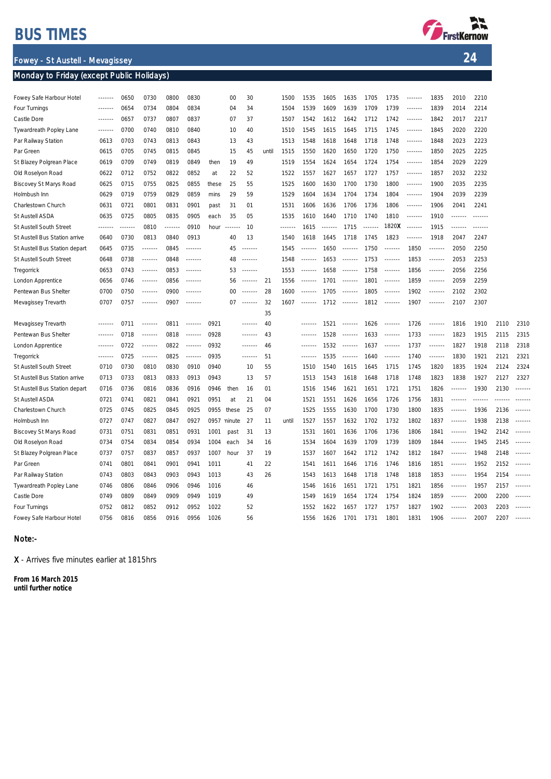## BUS TIMES

Fowey - St Austell - Mevagissey

#### Monday to Friday (except Public Holidays)



24

| Fowey Safe Harbour Hotel      |         | 0650        | 0730            | 0800    | 0830              |             | 00      | 30                |       | 1500    | 1535              | 1605 | 1635                       | 1705                  | 1735            | $- - - - - - -$ | 1835              | 2010              | 2210              |      |                                                                                    |
|-------------------------------|---------|-------------|-----------------|---------|-------------------|-------------|---------|-------------------|-------|---------|-------------------|------|----------------------------|-----------------------|-----------------|-----------------|-------------------|-------------------|-------------------|------|------------------------------------------------------------------------------------|
| Four Turnings                 | ------- | 0654        | 0734            | 0804    | 0834              |             | 04      | 34                |       | 1504    | 1539              | 1609 | 1639                       | 1709                  | 1739            | 1.1.1.1.1.1     | 1839              | 2014              | 2214              |      |                                                                                    |
| Castle Dore                   | ------- | 0657        | 0737            | 0807    | 0837              |             | 07      | 37                |       | 1507    | 1542              | 1612 | 1642                       | 1712                  | 1742            | $- - - - - - -$ | 1842              | 2017              | 2217              |      |                                                                                    |
| Tywardreath Popley Lane       | ------- | 0700        | 0740            | 0810    | 0840              |             | 10      | 40                |       | 1510    | 1545              | 1615 | 1645                       | 1715                  | 1745            | -------         | 1845              | 2020              | 2220              |      |                                                                                    |
| Par Railway Station           | 0613    | 0703        | 0743            | 0813    | 0843              |             | 13      | 43                |       | 1513    | 1548              | 1618 | 1648                       | 1718                  | 1748            | 1.1.1.1.1.1     | 1848              | 2023              | 2223              |      |                                                                                    |
| Par Green                     | 0615    | 0705        | 0745            | 0815    | 0845              |             | 15      | 45                | until | 1515    | 1550              | 1620 | 1650                       | 1720                  | 1750            | -------         | 1850              | 2025              | 2225              |      |                                                                                    |
| St Blazey Polgrean Place      | 0619    | 0709        | 0749            | 0819    | 0849              | then        | 19      | 49                |       | 1519    | 1554              | 1624 | 1654                       | 1724                  | 1754            | $- - - - - - -$ | 1854              | 2029              | 2229              |      |                                                                                    |
| Old Roselyon Road             | 0622    | 0712        | 0752            | 0822    | 0852              | at          | 22      | 52                |       | 1522    | 1557              | 1627 | 1657                       | 1727                  | 1757            | $- - - - - - -$ | 1857              | 2032              | 2232              |      |                                                                                    |
| Biscovey St Marys Road        | 0625    | 0715        | 0755            | 0825    | 0855              | these       | 25      | 55                |       | 1525    | 1600              | 1630 | 1700                       | 1730                  | 1800            | $- - - - - - -$ | 1900              | 2035              | 2235              |      |                                                                                    |
| Holmbush Inn                  | 0629    | 0719        | 0759            | 0829    | 0859              | mins        | 29      | 59                |       | 1529    | 1604              | 1634 | 1704                       | 1734                  | 1804            | 1.1.1.1.1.1     | 1904              | 2039              | 2239              |      |                                                                                    |
| Charlestown Church            | 0631    | 0721        | 0801            | 0831    | 0901              | past        | 31      | 01                |       | 1531    | 1606              | 1636 | 1706                       | 1736                  | 1806            | 1.1.1.1.1.1     | 1906              | 2041              | 2241              |      |                                                                                    |
| St Austell ASDA               | 0635    | 0725        | 0805            | 0835    | 0905              | each        | 35      | 05                |       | 1535    | 1610              | 1640 | 1710                       | 1740                  | 1810            | $- - - - - - -$ | 1910              | .                 | -------           |      |                                                                                    |
| St Austell South Street       | ------- | 1.1.1.1.1.1 | 0810            | <b></b> | 0910              | hour        | ------- | 10                |       | ------- | 1615              |      | 1715                       | <b><i><u></u></i></b> | 1820X           |                 | 1915              | -------           | $- - - - - - - -$ |      |                                                                                    |
| St Austell Bus Station arrive | 0640    | 0730        | 0813            | 0840    | 0913              |             | 40      | 13                |       | 1540    | 1618              | 1645 | 1718                       | 1745                  | 1823            | -------         | 1918              | 2047              | 2247              |      |                                                                                    |
| St Austell Bus Station depart | 0645    | 0735        |                 | 0845    | <b></b>           |             | 45      |                   |       | 1545    | -------           | 1650 | -------                    | 1750                  | -------         | 1850            |                   | 2050              | 2250              |      |                                                                                    |
| St Austell South Street       | 0648    | 0738        | -------         | 0848    | -------           |             | 48      | $- - - - - - -$   |       | 1548    | $- - - - - - - -$ | 1653 | $- - - - - - - -$          | 1753                  | $- - - - - - -$ | 1853            | $- - - - - - -$   | 2053              | 2253              |      |                                                                                    |
| Tregorrick                    | 0653    | 0743        | -------         | 0853    | $- - - - - - -$   |             | 53      | $- - - - - - - -$ |       | 1553    | $- - - - - - - -$ | 1658 |                            | 1758                  |                 | 1856            | $- - - - - - - -$ | 2056              | 2256              |      |                                                                                    |
| London Apprentice             | 0656    | 0746        | $- - - - - - -$ | 0856    | $- - - - - - -$   |             | 56      | -------           | 21    | 1556    | $- - - - - - -$   | 1701 | 1.1.1.1.1.1                | 1801                  | $- - - - - - -$ | 1859            | -------           | 2059              | 2259              |      |                                                                                    |
| Pentewan Bus Shelter          | 0700    | 0750        | $- - - - - - -$ | 0900    | $- - - - - - - -$ |             | 00      | 1.1.1.1.1.1       | 28    | 1600    |                   | 1705 | $\cdots\cdots\cdots\cdots$ | 1805                  | -------         | 1902            | $- - - - - - - -$ | 2102              | 2302              |      |                                                                                    |
| Mevagissey Trevarth           | 0707    | 0757        | -------         | 0907    | $- - - - - - -$   |             | 07      | 1.1.1.1.1.1       | 32    | 1607    | $- - - - - - -$   |      | $1712$ -------             | 1812                  |                 | 1907            | -------           | 2107              | 2307              |      |                                                                                    |
|                               |         |             |                 |         |                   |             |         |                   | 35    |         |                   |      |                            |                       |                 |                 |                   |                   |                   |      |                                                                                    |
| Mevagissey Trevarth           |         | 0711        | $- - - - - - -$ | 0811    |                   | 0921        |         |                   | 40    |         | -------           | 1521 | 1.1.1.1.1.1                | 1626                  |                 | 1726            |                   | 1816              | 1910              | 2110 | 2310                                                                               |
| Pentewan Bus Shelter          | ------- | 0718        | $- - - - - - -$ | 0818    | $- - - - - - -$   | 0928        |         | -------           | 43    |         | -------           | 1528 | $- - - - - - -$            | 1633                  |                 | 1733            | -------           | 1823              | 1915              | 2115 | 2315                                                                               |
| London Apprentice             |         | 0722        | -------         | 0822    | -------           | 0932        |         | -------           | 46    |         | -------           | 1532 | $- - - - - - - -$          | 1637                  | $- - - - - - -$ | 1737            | -------           | 1827              | 1918              | 2118 | 2318                                                                               |
| Tregorrick                    | ------- | 0725        |                 | 0825    | -------           | 0935        |         | $- - - - - - -$   | 51    |         | -------           | 1535 |                            | 1640                  | $- - - - - - -$ | 1740            | $- - - - - - -$   | 1830              | 1921              | 2121 | 2321                                                                               |
| St Austell South Street       | 0710    | 0730        | 0810            | 0830    | 0910              | 0940        |         | 10                | 55    |         | 1510              | 1540 | 1615                       | 1645                  | 1715            | 1745            | 1820              | 1835              | 1924              | 2124 | 2324                                                                               |
| St Austell Bus Station arrive | 0713    | 0733        | 0813            | 0833    | 0913              | 0943        |         | 13                | 57    |         | 1513              | 1543 | 1618                       | 1648                  | 1718            | 1748            | 1823              | 1838              | 1927              | 2127 | 2327                                                                               |
| St Austell Bus Station depart | 0716    | 0736        | 0816            | 0836    | 0916              | 0946        | then    | 16                | 01    |         | 1516              | 1546 | 1621                       | 1651                  | 1721            | 1751            | 1826              | $- - - - - - -$   | 1930              | 2130 | $- - - - - - -$                                                                    |
| St Austell ASDA               | 0721    | 0741        | 0821            | 0841    | 0921              | 0951        | at      | 21                | 04    |         | 1521              | 1551 | 1626                       | 1656                  | 1726            | 1756            | 1831              | $- - - - - - -$   |                   |      |                                                                                    |
| Charlestown Church            | 0725    | 0745        | 0825            | 0845    | 0925              | 0955        | these   | 25                | 07    |         | 1525              | 1555 | 1630                       | 1700                  | 1730            | 1800            | 1835              | $- - - - - - -$   | 1936              | 2136 | $- - - - - - -$                                                                    |
| Holmbush Inn                  | 0727    | 0747        | 0827            | 0847    | 0927              | 0957 ninute |         | 27                | 11    | until   | 1527              | 1557 | 1632                       | 1702                  | 1732            | 1802            | 1837              | $- - - - - - -$   | 1938              | 2138 | $- - - - - - - -$                                                                  |
| Biscovey St Marys Road        | 0731    | 0751        | 0831            | 0851    | 0931              | 1001        | past    | 31                | 13    |         | 1531              | 1601 | 1636                       | 1706                  | 1736            | 1806            | 1841              | $- - - - - - -$   | 1942              | 2142 | $- - - - - - -$                                                                    |
| Old Roselyon Road             | 0734    | 0754        | 0834            | 0854    | 0934              | 1004        | each    | 34                | 16    |         | 1534              | 1604 | 1639                       | 1709                  | 1739            | 1809            | 1844              | $- - - - - - -$   | 1945              | 2145 | $- - - - - - -$                                                                    |
| St Blazey Polgrean Place      | 0737    | 0757        | 0837            | 0857    | 0937              | 1007        | hour    | 37                | 19    |         | 1537              | 1607 | 1642                       | 1712                  | 1742            | 1812            | 1847              | 1.1.1.1.1.1       | 1948              | 2148 | $- - - - - - - -$                                                                  |
| Par Green                     | 0741    | 0801        | 0841            | 0901    | 0941              | 1011        |         | 41                | 22    |         | 1541              | 1611 | 1646                       | 1716                  | 1746            | 1816            | 1851              | $- - - - - - -$   | 1952              | 2152 | -------                                                                            |
| Par Railway Station           | 0743    | 0803        | 0843            | 0903    | 0943              | 1013        |         | 43                | 26    |         | 1543              | 1613 | 1648                       | 1718                  | 1748            | 1818            | 1853              |                   | 1954              | 2154 |                                                                                    |
| Tywardreath Popley Lane       | 0746    | 0806        | 0846            | 0906    | 0946              | 1016        |         | 46                |       |         | 1546              | 1616 | 1651                       | 1721                  | 1751            | 1821            | 1856              | $- - - - - - -$   | 1957              | 2157 | -------                                                                            |
| Castle Dore                   | 0749    | 0809        | 0849            | 0909    | 0949              | 1019        |         | 49                |       |         | 1549              | 1619 | 1654                       | 1724                  | 1754            | 1824            | 1859              |                   | 2000              | 2200 | $\begin{array}{cccccccccc} \cdots & \cdots & \cdots & \cdots & \cdots \end{array}$ |
| Four Turnings                 | 0752    | 0812        | 0852            | 0912    | 0952              | 1022        |         | 52                |       |         | 1552              | 1622 | 1657                       | 1727                  | 1757            | 1827            | 1902              | $- - - - - - -$   | 2003              | 2203 | $- - - - - - -$                                                                    |
| Fowey Safe Harbour Hotel      | 0756    | 0816        | 0856            | 0916    | 0956              | 1026        |         | 56                |       |         | 1556              | 1626 | 1701                       | 1731                  | 1801            | 1831            | 1906              | $- - - - - - - -$ | 2007              | 2207 |                                                                                    |
|                               |         |             |                 |         |                   |             |         |                   |       |         |                   |      |                            |                       |                 |                 |                   |                   |                   |      |                                                                                    |

#### Note:-

X - Arrives five minutes earlier at 1815hrs

From 16 March 2015 until further notice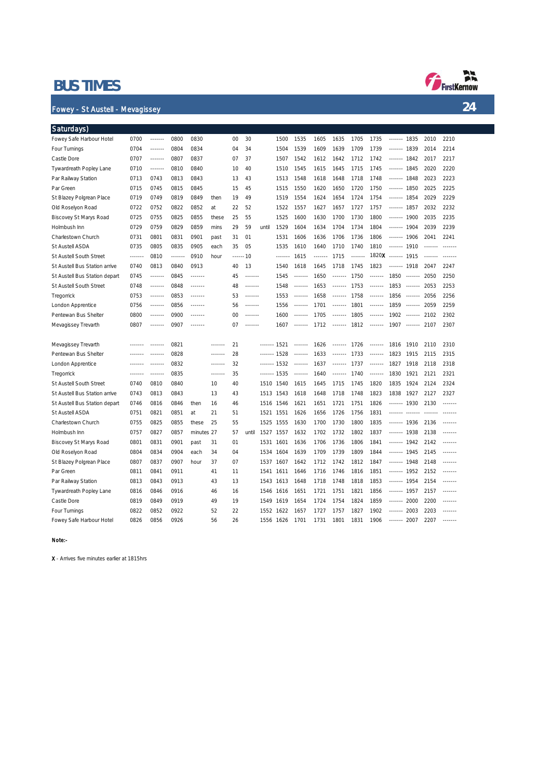### BUS TIMES

#### Fowey - St Austell - Mevagissey

| Saturdays)                    |         |                 |         |            |       |    |           |              |                 |                 |                 |         |         |                 |              |                 |         |                 |
|-------------------------------|---------|-----------------|---------|------------|-------|----|-----------|--------------|-----------------|-----------------|-----------------|---------|---------|-----------------|--------------|-----------------|---------|-----------------|
| Fowey Safe Harbour Hotel      | 0700    | $- - - - - - -$ | 0800    | 0830       |       | 00 | 30        |              | 1500            | 1535            | 1605            | 1635    | 1705    | 1735            | -------      | 1835            | 2010    | 2210            |
| Four Turnings                 | 0704    | -------         | 0804    | 0834       |       | 04 | 34        |              | 1504            | 1539            | 1609            | 1639    | 1709    | 1739            | ------- 1839 |                 | 2014    | 2214            |
| Castle Dore                   | 0707    |                 | 0807    | 0837       |       | 07 | 37        |              | 1507            | 1542            | 1612            | 1642    | 1712    | 1742            | ------- 1842 |                 | 2017    | 2217            |
| Tywardreath Popley Lane       | 0710    | $- - - - - -$   | 0810    | 0840       |       | 10 | 40        |              | 1510            | 1545            | 1615            | 1645    | 1715    | 1745            | ------- 1845 |                 | 2020    | 2220            |
| Par Railway Station           | 0713    | 0743            | 0813    | 0843       |       | 13 | 43        |              | 1513            | 1548            | 1618            | 1648    | 1718    | 1748            | ------- 1848 |                 | 2023    | 2223            |
| Par Green                     | 0715    | 0745            | 0815    | 0845       |       | 15 | 45        |              | 1515            | 1550            | 1620            | 1650    | 1720    | 1750            | -------      | 1850            | 2025    | 2225            |
| St Blazey Polgrean Place      | 0719    | 0749            | 0819    | 0849       | then  | 19 | 49        |              | 1519            | 1554            | 1624            | 1654    | 1724    | 1754            | ------- 1854 |                 | 2029    | 2229            |
| Old Roselyon Road             | 0722    | 0752            | 0822    | 0852       | at    | 22 | 52        |              | 1522            | 1557            | 1627            | 1657    | 1727    | 1757            | ------- 1857 |                 | 2032    | 2232            |
| Biscovey St Marys Road        | 0725    | 0755            | 0825    | 0855       | these | 25 | 55        |              | 1525            | 1600            | 1630            | 1700    | 1730    | 1800            | ------- 1900 |                 | 2035    | 2235            |
| Holmbush Inn                  | 0729    | 0759            | 0829    | 0859       | mins  | 29 | 59        | until        | 1529            | 1604            | 1634            | 1704    | 1734    | 1804            | -------      | 1904            | 2039    | 2239            |
| Charlestown Church            | 0731    | 0801            | 0831    | 0901       | past  | 31 | 01        |              | 1531            | 1606            | 1636            | 1706    | 1736    | 1806            | ------ 1906  |                 | 2041    | 2241            |
| St Austell ASDA               | 0735    | 0805            | 0835    | 0905       | each  | 35 | 05        |              | 1535            | 1610            | 1640            | 1710    | 1740    | 1810            | ------- 1910 |                 |         |                 |
| St Austell South Street       | ------- | 0810            | ------- | 0910       | hour  |    | ------ 10 |              | $- - - - - - -$ | 1615            | $- - - - - - -$ | 1715    | ------- | 1820X           | ------- 1915 |                 | ------- |                 |
| St Austell Bus Station arrive | 0740    | 0813            | 0840    | 0913       |       | 40 | 13        |              | 1540            | 1618            | 1645            | 1718    | 1745    | 1823            | ------ 1918  |                 | 2047    | 2247            |
| St Austell Bus Station depart | 0745    | .               | 0845    |            |       | 45 |           |              | 1545            | $- - - - - -$   | 1650            |         | 1750    |                 | 1850         | $- - - - - - -$ | 2050    | 2250            |
| St Austell South Street       | 0748    | ------          | 0848    |            |       | 48 |           |              | 1548            |                 | 1653            |         | 1753    |                 | 1853         | $- - - - - - -$ | 2053    | 2253            |
| Tregorrick                    | 0753    | $- - - - - - -$ | 0853    | -------    |       | 53 | -------   |              | 1553            | $- - - - - - -$ | 1658            | ------- | 1758    | -------         | 1856         | $- - - - - - -$ | 2056    | 2256            |
| London Apprentice             | 0756    | -------         | 0856    | .          |       | 56 | -------   |              | 1556            | .               | 1701            |         | 1801    | .               | 1859         | 1.1.1.1.1.1     | 2059    | 2259            |
| Pentewan Bus Shelter          | 0800    | $- - - - - - -$ | 0900    | .          |       | 00 | -------   |              | 1600            | -------         | 1705            | ------- | 1805    | $- - - - - - -$ | 1902         | $- - - - - - -$ | 2102    | 2302            |
| Mevagissey Trevarth           | 0807    | $- - - - - - -$ | 0907    | .          |       | 07 | -------   |              | 1607            | $- - - - - - -$ | 1712            | ------- | 1812    | $- - - - - - -$ | 1907         | $- - - - - - -$ | 2107    | 2307            |
|                               |         |                 |         |            |       |    |           |              |                 |                 |                 |         |         |                 |              |                 |         |                 |
| Mevagissey Trevarth           |         |                 | 0821    |            |       | 21 |           | ------- 1521 |                 | .               | 1626            |         | 1726    | .               | 1816         | 1910            | 2110    | 2310            |
| Pentewan Bus Shelter          |         |                 | 0828    |            |       | 28 |           |              | 1528            | $- - - - - - -$ | 1633            | ------- | 1733    | $- - - - - - -$ | 1823         | 1915            | 2115    | 2315            |
| London Apprentice             |         |                 | 0832    |            |       | 32 |           |              | 1532            | $- - - - - - -$ | 1637            |         | 1737    | .               | 1827         | 1918            | 2118    | 2318            |
| Tregorrick                    |         |                 | 0835    |            |       | 35 |           |              | 1535            | -------         | 1640            |         | 1740    | -------         | 1830         | 1921            | 2121    | 2321            |
| St Austell South Street       | 0740    | 0810            | 0840    |            | 10    | 40 |           | 1510         | 1540            | 1615            | 1645            | 1715    | 1745    | 1820            | 1835         | 1924            | 2124    | 2324            |
| St Austell Bus Station arrive | 0743    | 0813            | 0843    |            | 13    | 43 |           | 1513         | 1543            | 1618            | 1648            | 1718    | 1748    | 1823            | 1838         | 1927            | 2127    | 2327            |
| St Austell Bus Station depart | 0746    | 0816            | 0846    | then       | 16    | 46 |           | 1516         | 1546            | 1621            | 1651            | 1721    | 1751    | 1826            | -------      | 1930            | 2130    | $- - - - - - -$ |
| St Austell ASDA               | 0751    | 0821            | 0851    | at         | 21    | 51 |           | 1521         | 1551            | 1626            | 1656            | 1726    | 1756    | 1831            | -------      | 1.1.1.1         |         |                 |
| Charlestown Church            | 0755    | 0825            | 0855    | these      | 25    | 55 |           | 1525         | 1555            | 1630            | 1700            | 1730    | 1800    | 1835            | ------- 1936 |                 | 2136    | -------         |
| Holmbush Inn                  | 0757    | 0827            | 0857    | minutes 27 |       | 57 | until     | 1527         | 1557            | 1632            | 1702            | 1732    | 1802    | 1837            | ------- 1938 |                 | 2138    | -------         |
| Biscovey St Marys Road        | 0801    | 0831            | 0901    | past       | 31    | 01 |           | 1531         | 1601            | 1636            | 1706            | 1736    | 1806    | 1841            | ------- 1942 |                 | 2142    |                 |
| Old Roselyon Road             | 0804    | 0834            | 0904    | each       | 34    | 04 |           | 1534         | 1604            | 1639            | 1709            | 1739    | 1809    | 1844            | ------- 1945 |                 | 2145    |                 |
| St Blazey Polgrean Place      | 0807    | 0837            | 0907    | hour       | 37    | 07 |           | 1537         | 1607            | 1642            | 1712            | 1742    | 1812    | 1847            | ------- 1948 |                 | 2148    | $- - - - - - -$ |
| Par Green                     | 0811    | 0841            | 0911    |            | 41    | 11 |           | 1541         | 1611            | 1646            | 1716            | 1746    | 1816    | 1851            | ------- 1952 |                 | 2152    | $- - - - - - -$ |
| Par Railway Station           | 0813    | 0843            | 0913    |            | 43    | 13 |           | 1543         | 1613            | 1648            | 1718            | 1748    | 1818    | 1853            | ------- 1954 |                 | 2154    | $- - - - - - -$ |
| Tywardreath Popley Lane       | 0816    | 0846            | 0916    |            | 46    | 16 |           | 1546         | 1616            | 1651            | 1721            | 1751    | 1821    | 1856            | -------      | 1957            | 2157    | -------         |
| Castle Dore                   | 0819    | 0849            | 0919    |            | 49    | 19 |           | 1549         | 1619            | 1654            | 1724            | 1754    | 1824    | 1859            | -------      | 2000            | 2200    | -------         |
| Four Turnings                 | 0822    | 0852            | 0922    |            | 52    | 22 |           | 1552         | 1622            | 1657            | 1727            | 1757    | 1827    | 1902            | -------      | 2003            | 2203    | -------         |
| Fowey Safe Harbour Hotel      | 0826    | 0856            | 0926    |            | 56    | 26 |           | 1556         | 1626            | 1701            | 1731            | 1801    | 1831    | 1906            | -------      | 2007            | 2207    | -------         |

#### Note:-

X - Arrives five minutes earlier at 1815hrs



24